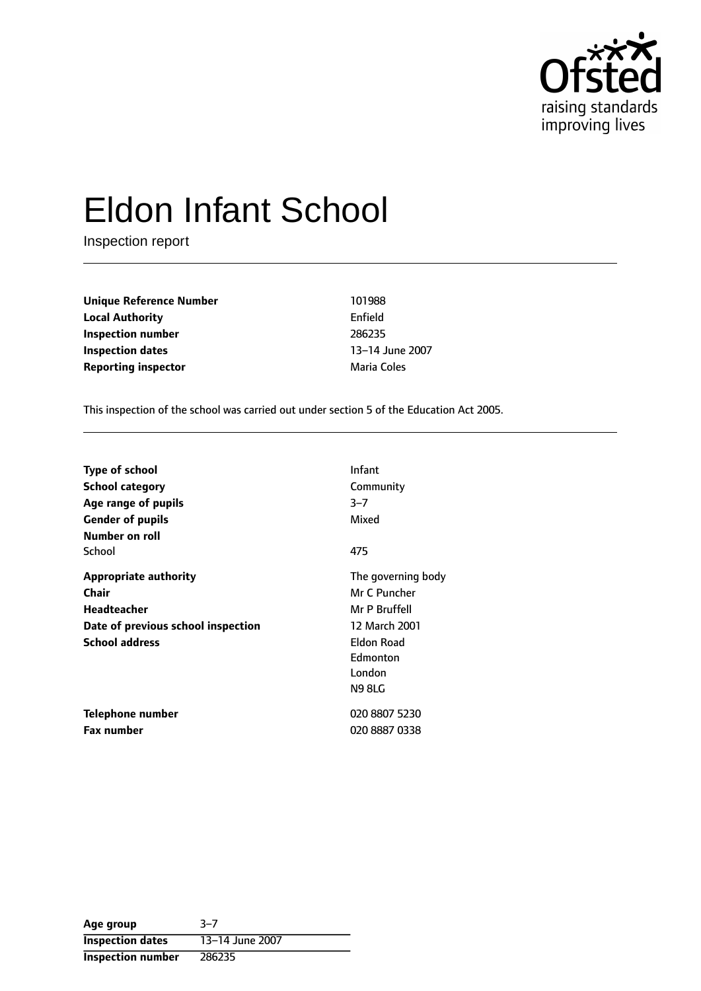

# Eldon Infant School

Inspection report

**Unique Reference Number** 101988 **Local Authority** Enfield **Inspection number** 286235 **Inspection dates** 13-14 June 2007 **Reporting inspector and a reporting inspector a matrice** *Maria Coles* 

This inspection of the school was carried out under section 5 of the Education Act 2005.

| <b>Type of school</b>              | Infant             |
|------------------------------------|--------------------|
| <b>School category</b>             | Community          |
| Age range of pupils                | $3 - 7$            |
| <b>Gender of pupils</b>            | Mixed              |
| Number on roll                     |                    |
| School                             | 475                |
| <b>Appropriate authority</b>       | The governing body |
| Chair                              | Mr C Puncher       |
| <b>Headteacher</b>                 | Mr P Bruffell      |
| Date of previous school inspection | 12 March 2001      |
| <b>School address</b>              | Eldon Road         |
|                                    | Edmonton           |
|                                    | London             |
|                                    | <b>N98LG</b>       |
| Telephone number                   | 020 8807 5230      |
| <b>Fax number</b>                  | 020 8887 0338      |

| Age group                | $3 - 7$         |
|--------------------------|-----------------|
| <b>Inspection dates</b>  | 13-14 June 2007 |
| <b>Inspection number</b> | 286235          |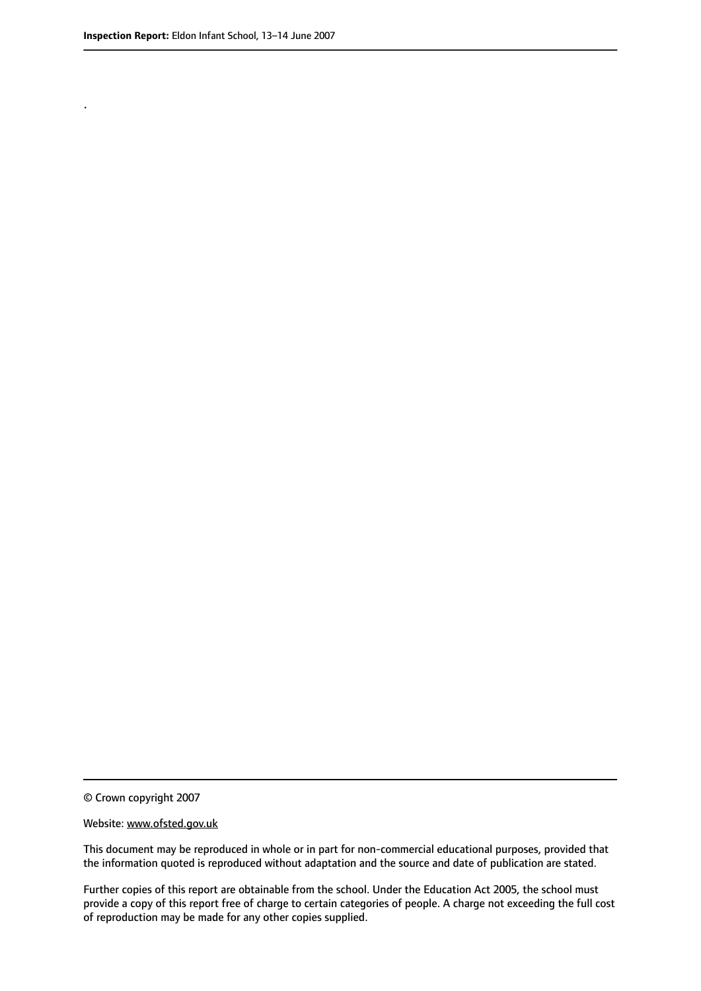.

© Crown copyright 2007

#### Website: www.ofsted.gov.uk

This document may be reproduced in whole or in part for non-commercial educational purposes, provided that the information quoted is reproduced without adaptation and the source and date of publication are stated.

Further copies of this report are obtainable from the school. Under the Education Act 2005, the school must provide a copy of this report free of charge to certain categories of people. A charge not exceeding the full cost of reproduction may be made for any other copies supplied.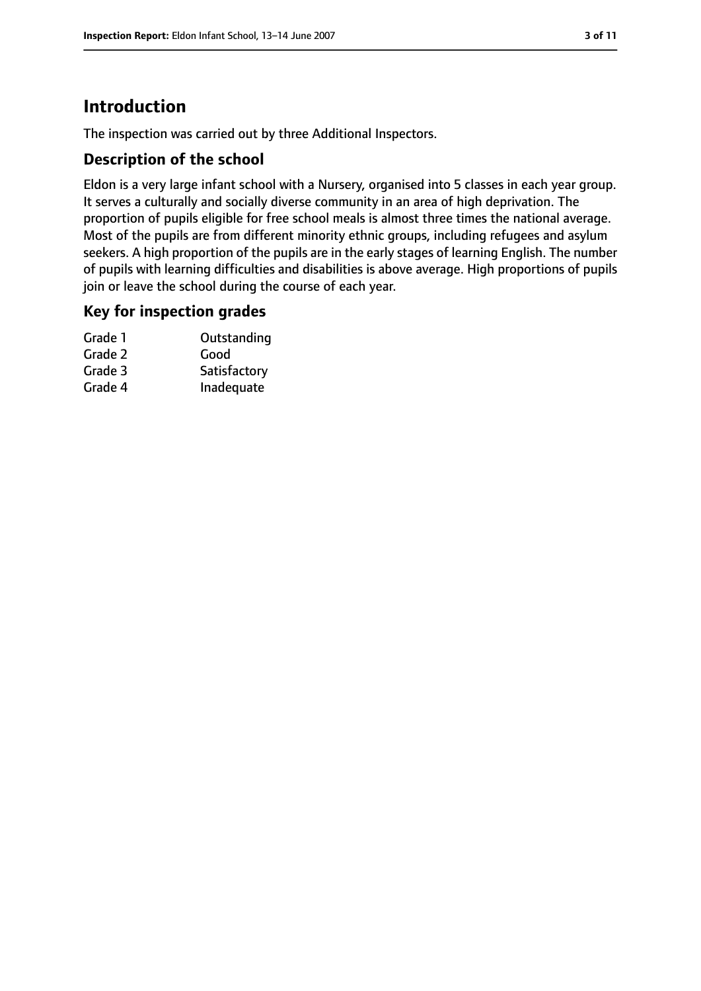# **Introduction**

The inspection was carried out by three Additional Inspectors.

## **Description of the school**

Eldon is a very large infant school with a Nursery, organised into 5 classes in each year group. It serves a culturally and socially diverse community in an area of high deprivation. The proportion of pupils eligible for free school meals is almost three times the national average. Most of the pupils are from different minority ethnic groups, including refugees and asylum seekers. A high proportion of the pupils are in the early stages of learning English. The number of pupils with learning difficulties and disabilities is above average. High proportions of pupils join or leave the school during the course of each year.

## **Key for inspection grades**

| Grade 1 | Outstanding  |
|---------|--------------|
| Grade 2 | Good         |
| Grade 3 | Satisfactory |
| Grade 4 | Inadequate   |
|         |              |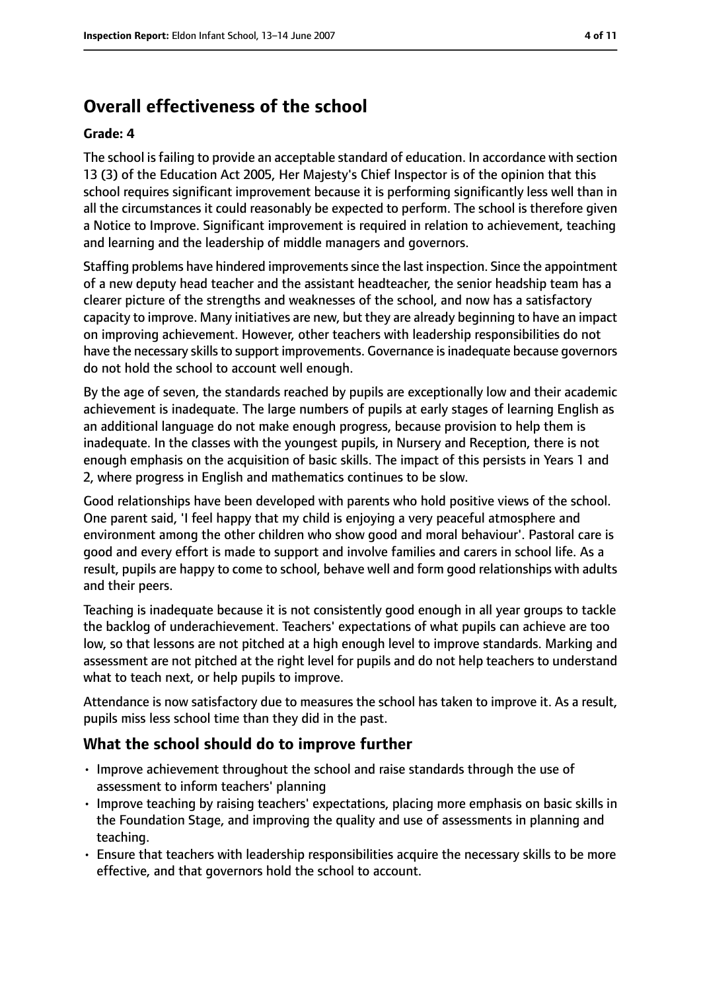# **Overall effectiveness of the school**

#### **Grade: 4**

The school is failing to provide an acceptable standard of education. In accordance with section 13 (3) of the Education Act 2005, Her Majesty's Chief Inspector is of the opinion that this school requires significant improvement because it is performing significantly less well than in all the circumstances it could reasonably be expected to perform. The school is therefore given a Notice to Improve. Significant improvement is required in relation to achievement, teaching and learning and the leadership of middle managers and governors.

Staffing problems have hindered improvementssince the last inspection. Since the appointment of a new deputy head teacher and the assistant headteacher, the senior headship team has a clearer picture of the strengths and weaknesses of the school, and now has a satisfactory capacity to improve. Many initiatives are new, but they are already beginning to have an impact on improving achievement. However, other teachers with leadership responsibilities do not have the necessary skills to support improvements. Governance is inadequate because governors do not hold the school to account well enough.

By the age of seven, the standards reached by pupils are exceptionally low and their academic achievement is inadequate. The large numbers of pupils at early stages of learning English as an additional language do not make enough progress, because provision to help them is inadequate. In the classes with the youngest pupils, in Nursery and Reception, there is not enough emphasis on the acquisition of basic skills. The impact of this persists in Years 1 and 2, where progress in English and mathematics continues to be slow.

Good relationships have been developed with parents who hold positive views of the school. One parent said, 'I feel happy that my child is enjoying a very peaceful atmosphere and environment among the other children who show good and moral behaviour'. Pastoral care is good and every effort is made to support and involve families and carers in school life. As a result, pupils are happy to come to school, behave well and form good relationships with adults and their peers.

Teaching is inadequate because it is not consistently good enough in all year groups to tackle the backlog of underachievement. Teachers' expectations of what pupils can achieve are too low, so that lessons are not pitched at a high enough level to improve standards. Marking and assessment are not pitched at the right level for pupils and do not help teachers to understand what to teach next, or help pupils to improve.

Attendance is now satisfactory due to measures the school has taken to improve it. As a result, pupils miss less school time than they did in the past.

## **What the school should do to improve further**

- Improve achievement throughout the school and raise standards through the use of assessment to inform teachers' planning
- Improve teaching by raising teachers' expectations, placing more emphasis on basic skills in the Foundation Stage, and improving the quality and use of assessments in planning and teaching.
- Ensure that teachers with leadership responsibilities acquire the necessary skills to be more effective, and that governors hold the school to account.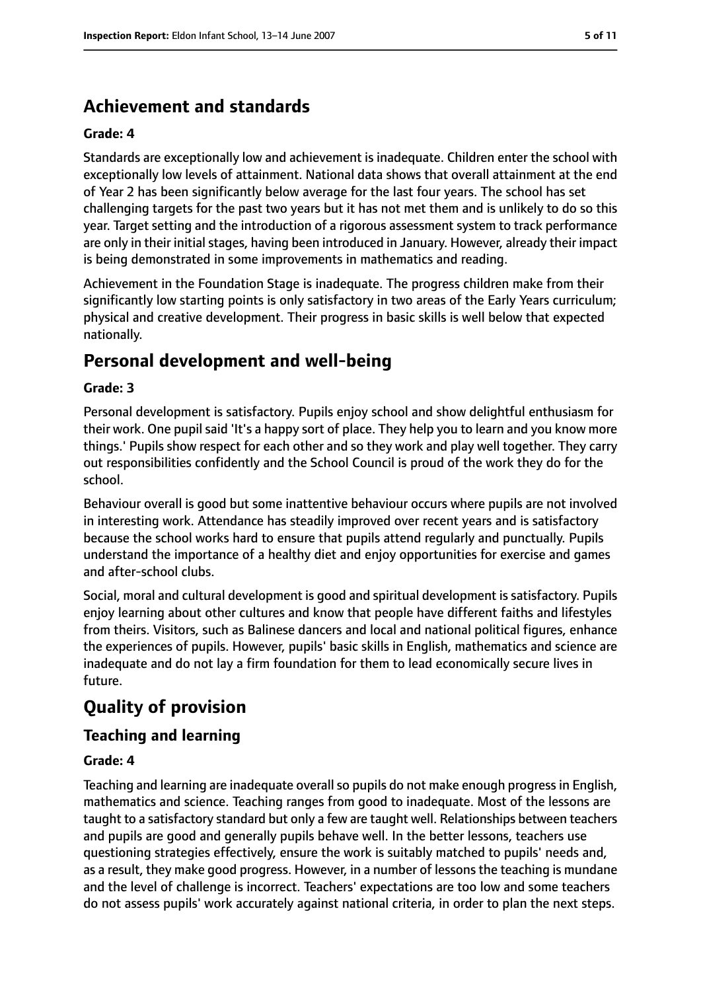# **Achievement and standards**

#### **Grade: 4**

Standards are exceptionally low and achievement is inadequate. Children enter the school with exceptionally low levels of attainment. National data shows that overall attainment at the end of Year 2 has been significantly below average for the last four years. The school has set challenging targets for the past two years but it has not met them and is unlikely to do so this year. Target setting and the introduction of a rigorous assessment system to track performance are only in their initial stages, having been introduced in January. However, already their impact is being demonstrated in some improvements in mathematics and reading.

Achievement in the Foundation Stage is inadequate. The progress children make from their significantly low starting points is only satisfactory in two areas of the Early Years curriculum; physical and creative development. Their progress in basic skills is well below that expected nationally.

# **Personal development and well-being**

#### **Grade: 3**

Personal development is satisfactory. Pupils enjoy school and show delightful enthusiasm for their work. One pupil said 'It's a happy sort of place. They help you to learn and you know more things.' Pupils show respect for each other and so they work and play well together. They carry out responsibilities confidently and the School Council is proud of the work they do for the school.

Behaviour overall is good but some inattentive behaviour occurs where pupils are not involved in interesting work. Attendance has steadily improved over recent years and is satisfactory because the school works hard to ensure that pupils attend regularly and punctually. Pupils understand the importance of a healthy diet and enjoy opportunities for exercise and games and after-school clubs.

Social, moral and cultural development is good and spiritual development is satisfactory. Pupils enjoy learning about other cultures and know that people have different faiths and lifestyles from theirs. Visitors, such as Balinese dancers and local and national political figures, enhance the experiences of pupils. However, pupils' basic skills in English, mathematics and science are inadequate and do not lay a firm foundation for them to lead economically secure lives in future.

# **Quality of provision**

## **Teaching and learning**

#### **Grade: 4**

Teaching and learning are inadequate overall so pupils do not make enough progress in English, mathematics and science. Teaching ranges from good to inadequate. Most of the lessons are taught to a satisfactory standard but only a few are taught well. Relationships between teachers and pupils are good and generally pupils behave well. In the better lessons, teachers use questioning strategies effectively, ensure the work is suitably matched to pupils' needs and, as a result, they make good progress. However, in a number of lessons the teaching is mundane and the level of challenge is incorrect. Teachers' expectations are too low and some teachers do not assess pupils' work accurately against national criteria, in order to plan the next steps.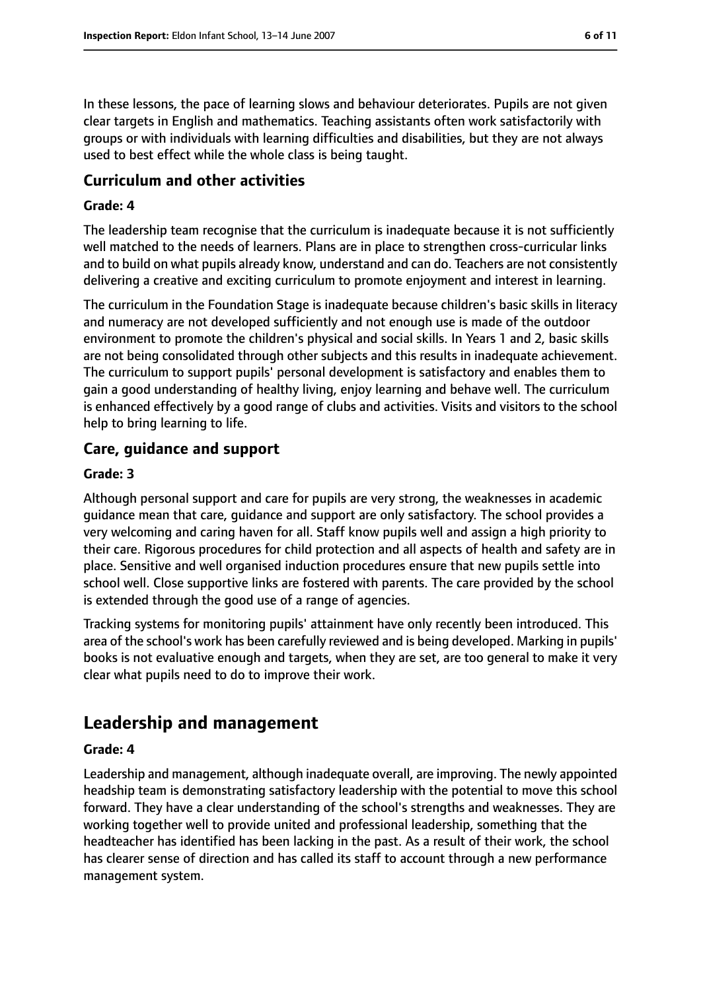In these lessons, the pace of learning slows and behaviour deteriorates. Pupils are not given clear targets in English and mathematics. Teaching assistants often work satisfactorily with groups or with individuals with learning difficulties and disabilities, but they are not always used to best effect while the whole class is being taught.

#### **Curriculum and other activities**

#### **Grade: 4**

The leadership team recognise that the curriculum is inadequate because it is not sufficiently well matched to the needs of learners. Plans are in place to strengthen cross-curricular links and to build on what pupils already know, understand and can do. Teachers are not consistently delivering a creative and exciting curriculum to promote enjoyment and interest in learning.

The curriculum in the Foundation Stage is inadequate because children's basic skills in literacy and numeracy are not developed sufficiently and not enough use is made of the outdoor environment to promote the children's physical and social skills. In Years 1 and 2, basic skills are not being consolidated through other subjects and this results in inadequate achievement. The curriculum to support pupils' personal development is satisfactory and enables them to gain a good understanding of healthy living, enjoy learning and behave well. The curriculum is enhanced effectively by a good range of clubs and activities. Visits and visitors to the school help to bring learning to life.

#### **Care, guidance and support**

#### **Grade: 3**

Although personal support and care for pupils are very strong, the weaknesses in academic guidance mean that care, guidance and support are only satisfactory. The school provides a very welcoming and caring haven for all. Staff know pupils well and assign a high priority to their care. Rigorous procedures for child protection and all aspects of health and safety are in place. Sensitive and well organised induction procedures ensure that new pupils settle into school well. Close supportive links are fostered with parents. The care provided by the school is extended through the good use of a range of agencies.

Tracking systems for monitoring pupils' attainment have only recently been introduced. This area of the school's work has been carefully reviewed and is being developed. Marking in pupils' books is not evaluative enough and targets, when they are set, are too general to make it very clear what pupils need to do to improve their work.

# **Leadership and management**

#### **Grade: 4**

Leadership and management, although inadequate overall, are improving. The newly appointed headship team is demonstrating satisfactory leadership with the potential to move this school forward. They have a clear understanding of the school's strengths and weaknesses. They are working together well to provide united and professional leadership, something that the headteacher has identified has been lacking in the past. As a result of their work, the school has clearer sense of direction and has called its staff to account through a new performance management system.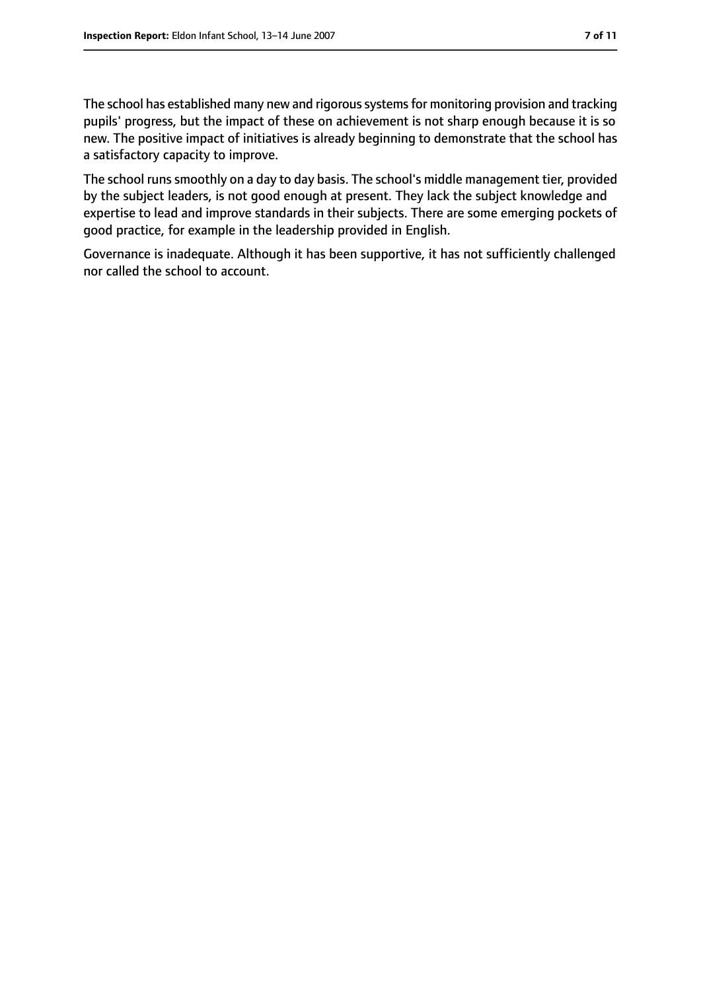The school has established many new and rigorous systems for monitoring provision and tracking pupils' progress, but the impact of these on achievement is not sharp enough because it is so new. The positive impact of initiatives is already beginning to demonstrate that the school has a satisfactory capacity to improve.

The school runs smoothly on a day to day basis. The school's middle management tier, provided by the subject leaders, is not good enough at present. They lack the subject knowledge and expertise to lead and improve standards in their subjects. There are some emerging pockets of good practice, for example in the leadership provided in English.

Governance is inadequate. Although it has been supportive, it has not sufficiently challenged nor called the school to account.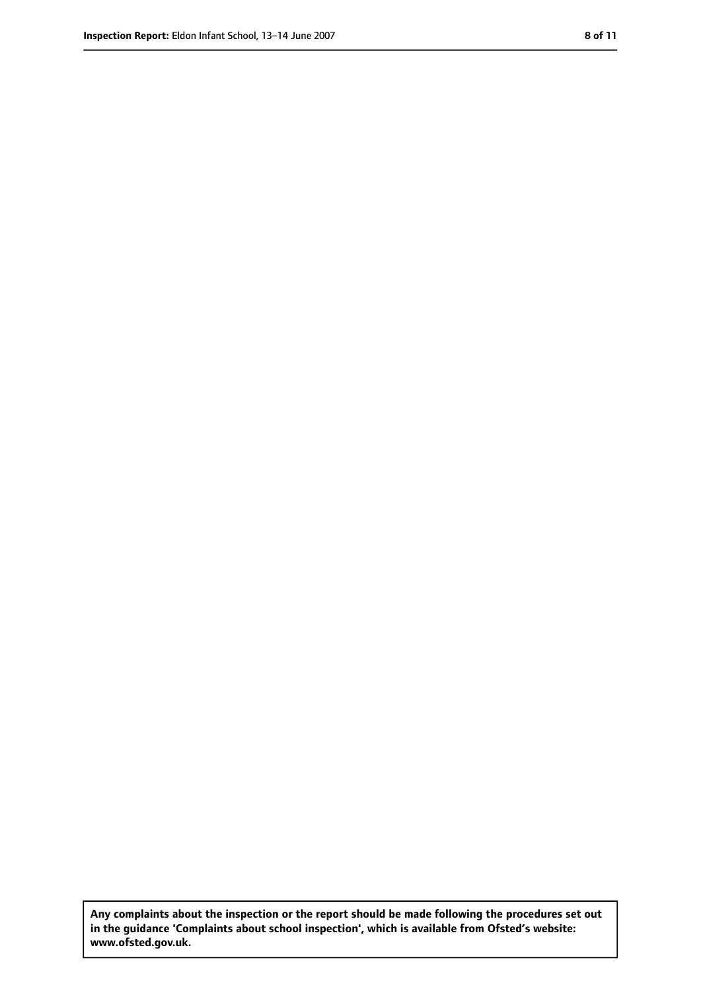**Any complaints about the inspection or the report should be made following the procedures set out in the guidance 'Complaints about school inspection', which is available from Ofsted's website: www.ofsted.gov.uk.**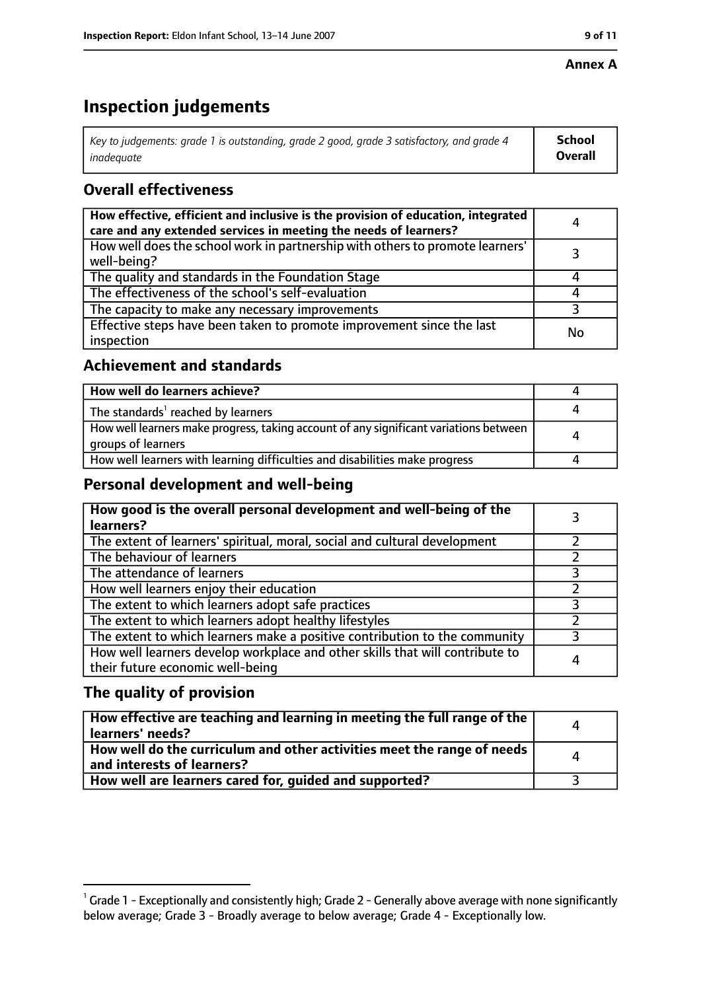#### **Annex A**

# **Inspection judgements**

| Key to judgements: grade 1 is outstanding, grade 2 good, grade 3 satisfactory, and grade 4 $\,$ | <b>School</b>  |
|-------------------------------------------------------------------------------------------------|----------------|
| inadequate                                                                                      | <b>Overall</b> |

# **Overall effectiveness**

| How effective, efficient and inclusive is the provision of education, integrated<br>care and any extended services in meeting the needs of learners? | Д  |
|------------------------------------------------------------------------------------------------------------------------------------------------------|----|
| How well does the school work in partnership with others to promote learners'<br>well-being?                                                         |    |
| The quality and standards in the Foundation Stage                                                                                                    |    |
| The effectiveness of the school's self-evaluation                                                                                                    |    |
| The capacity to make any necessary improvements                                                                                                      |    |
| Effective steps have been taken to promote improvement since the last<br>inspection                                                                  | No |

## **Achievement and standards**

| How well do learners achieve?                                                                               |  |
|-------------------------------------------------------------------------------------------------------------|--|
| The standards <sup>1</sup> reached by learners                                                              |  |
| How well learners make progress, taking account of any significant variations between<br>groups of learners |  |
| How well learners with learning difficulties and disabilities make progress                                 |  |

## **Personal development and well-being**

| How good is the overall personal development and well-being of the<br>learners?                                  |   |
|------------------------------------------------------------------------------------------------------------------|---|
| The extent of learners' spiritual, moral, social and cultural development                                        |   |
| The behaviour of learners                                                                                        |   |
| The attendance of learners                                                                                       |   |
| How well learners enjoy their education                                                                          |   |
| The extent to which learners adopt safe practices                                                                |   |
| The extent to which learners adopt healthy lifestyles                                                            |   |
| The extent to which learners make a positive contribution to the community                                       |   |
| How well learners develop workplace and other skills that will contribute to<br>their future economic well-being | 4 |

# **The quality of provision**

| How effective are teaching and learning in meeting the full range of the<br>learners' needs?          | $\Delta$ |
|-------------------------------------------------------------------------------------------------------|----------|
| How well do the curriculum and other activities meet the range of needs<br>and interests of learners? | Δ        |
| How well are learners cared for, quided and supported?                                                |          |

 $^1$  Grade 1 - Exceptionally and consistently high; Grade 2 - Generally above average with none significantly below average; Grade 3 - Broadly average to below average; Grade 4 - Exceptionally low.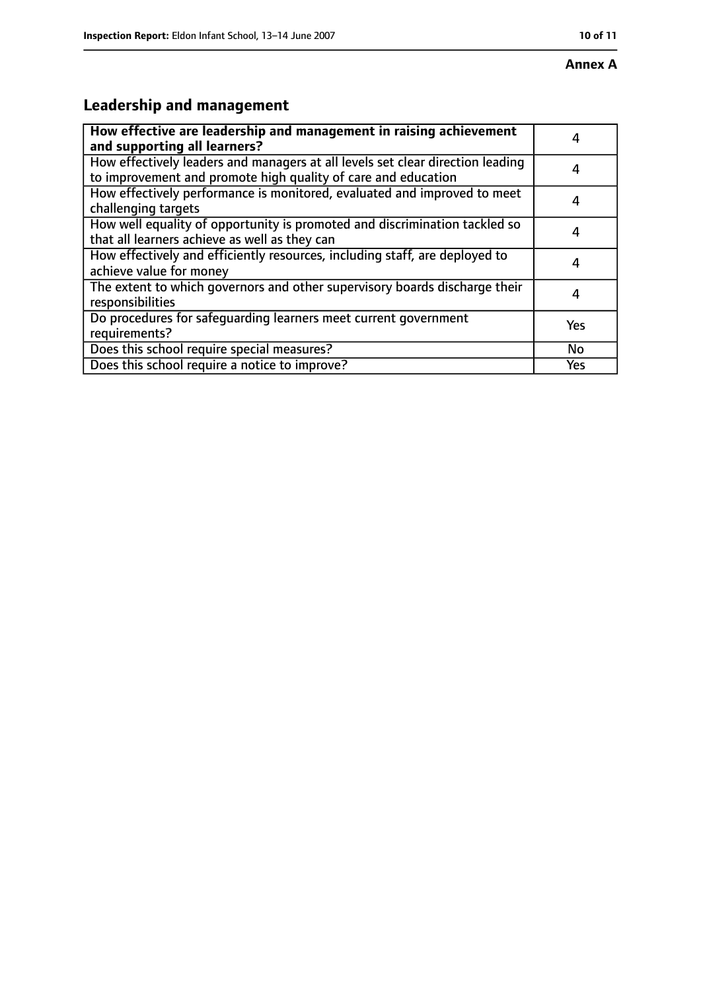# **Annex A**

# **Leadership and management**

| How effective are leadership and management in raising achievement<br>and supporting all learners?                                              |     |
|-------------------------------------------------------------------------------------------------------------------------------------------------|-----|
| How effectively leaders and managers at all levels set clear direction leading<br>to improvement and promote high quality of care and education |     |
| How effectively performance is monitored, evaluated and improved to meet<br>challenging targets                                                 | 4   |
| How well equality of opportunity is promoted and discrimination tackled so<br>that all learners achieve as well as they can                     | 4   |
| How effectively and efficiently resources, including staff, are deployed to<br>achieve value for money                                          | 4   |
| The extent to which governors and other supervisory boards discharge their<br>responsibilities                                                  |     |
| Do procedures for safequarding learners meet current government<br>requirements?                                                                | Yes |
| Does this school require special measures?                                                                                                      | No  |
| Does this school require a notice to improve?                                                                                                   | Yes |